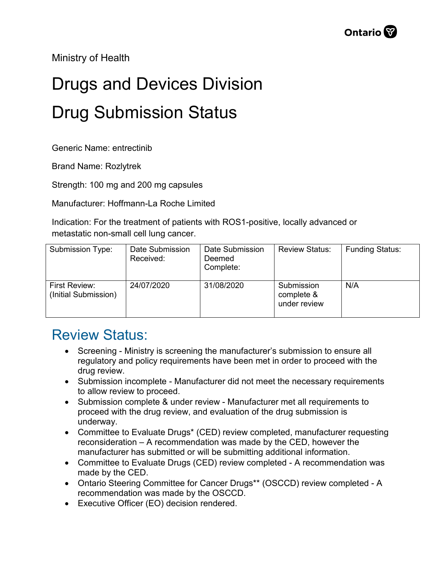Ministry of Health

## Drugs and Devices Division Drug Submission Status

Generic Name: entrectinib

Brand Name: Rozlytrek

Strength: 100 mg and 200 mg capsules

Manufacturer: Hoffmann-La Roche Limited

Indication: For the treatment of patients with ROS1-positive, locally advanced or metastatic non-small cell lung cancer.

| Submission Type:                      | Date Submission<br>Received: | Date Submission<br>Deemed<br>Complete: | <b>Review Status:</b>                    | <b>Funding Status:</b> |
|---------------------------------------|------------------------------|----------------------------------------|------------------------------------------|------------------------|
| First Review:<br>(Initial Submission) | 24/07/2020                   | 31/08/2020                             | Submission<br>complete &<br>under review | N/A                    |

## Review Status:

- Screening Ministry is screening the manufacturer's submission to ensure all regulatory and policy requirements have been met in order to proceed with the drug review.
- Submission incomplete Manufacturer did not meet the necessary requirements to allow review to proceed.
- Submission complete & under review Manufacturer met all requirements to proceed with the drug review, and evaluation of the drug submission is underway.
- Committee to Evaluate Drugs\* (CED) review completed, manufacturer requesting reconsideration – A recommendation was made by the CED, however the manufacturer has submitted or will be submitting additional information.
- Committee to Evaluate Drugs (CED) review completed A recommendation was made by the CED.
- Ontario Steering Committee for Cancer Drugs\*\* (OSCCD) review completed A recommendation was made by the OSCCD.
- Executive Officer (EO) decision rendered.